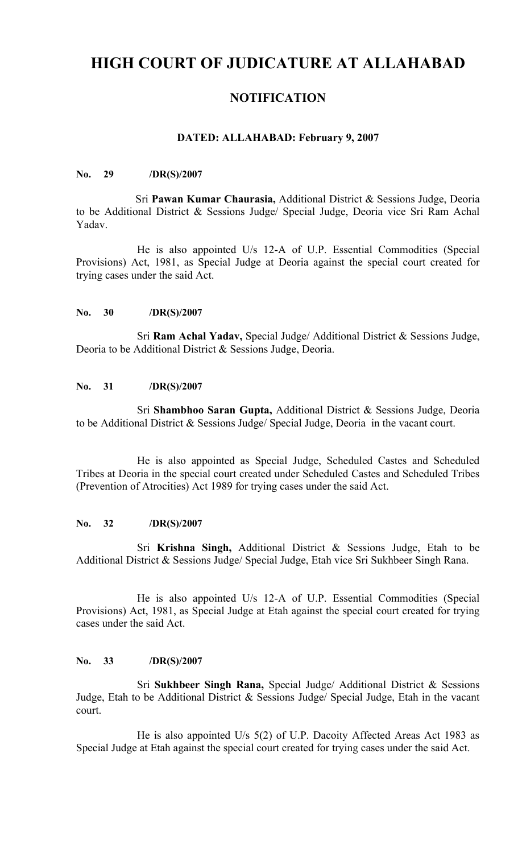# **HIGH COURT OF JUDICATURE AT ALLAHABAD**

# **NOTIFICATION**

### **DATED: ALLAHABAD: February 9, 2007**

#### **No. 29 /DR(S)/2007**

Sri **Pawan Kumar Chaurasia,** Additional District & Sessions Judge, Deoria to be Additional District & Sessions Judge/ Special Judge, Deoria vice Sri Ram Achal Yadav.

He is also appointed U/s 12-A of U.P. Essential Commodities (Special Provisions) Act, 1981, as Special Judge at Deoria against the special court created for trying cases under the said Act.

#### **No. 30 /DR(S)/2007**

Sri **Ram Achal Yadav,** Special Judge/ Additional District & Sessions Judge, Deoria to be Additional District & Sessions Judge, Deoria.

#### **No. 31 /DR(S)/2007**

Sri **Shambhoo Saran Gupta,** Additional District & Sessions Judge, Deoria to be Additional District & Sessions Judge/ Special Judge, Deoria in the vacant court.

He is also appointed as Special Judge, Scheduled Castes and Scheduled Tribes at Deoria in the special court created under Scheduled Castes and Scheduled Tribes (Prevention of Atrocities) Act 1989 for trying cases under the said Act.

## **No. 32 /DR(S)/2007**

Sri **Krishna Singh,** Additional District & Sessions Judge, Etah to be Additional District & Sessions Judge/ Special Judge, Etah vice Sri Sukhbeer Singh Rana.

He is also appointed U/s 12-A of U.P. Essential Commodities (Special Provisions) Act, 1981, as Special Judge at Etah against the special court created for trying cases under the said Act.

#### **No. 33 /DR(S)/2007**

Sri **Sukhbeer Singh Rana,** Special Judge/ Additional District & Sessions Judge, Etah to be Additional District & Sessions Judge/ Special Judge, Etah in the vacant court.

He is also appointed U/s 5(2) of U.P. Dacoity Affected Areas Act 1983 as Special Judge at Etah against the special court created for trying cases under the said Act.